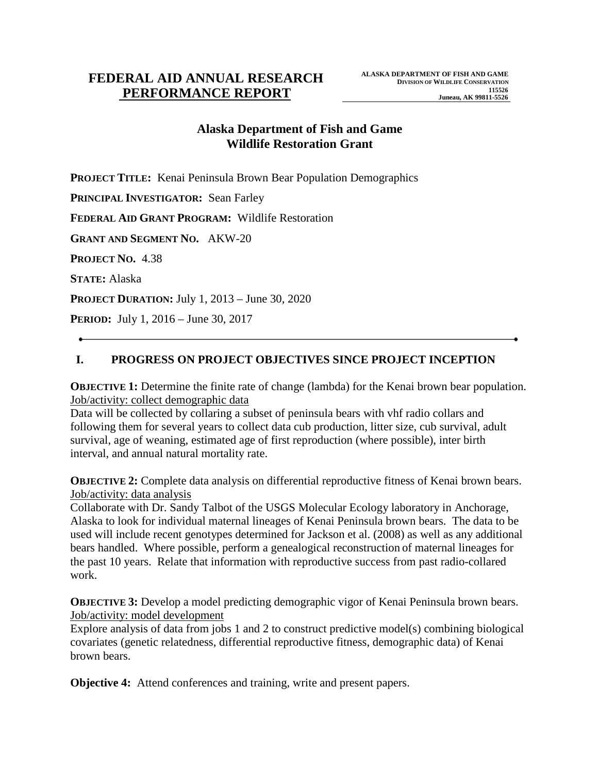# **Alaska Department of Fish and Game Wildlife Restoration Grant**

**PROJECT TITLE:** Kenai Peninsula Brown Bear Population Demographics

**PRINCIPAL INVESTIGATOR:** Sean Farley

**FEDERAL AID GRANT PROGRAM:** Wildlife Restoration

**GRANT AND SEGMENT NO.** AKW-20

**PROJECT NO.** 4.38

**STATE:** Alaska

**PROJECT DURATION:** July 1, 2013 – June 30, 2020

**PERIOD:** July 1, 2016 – June 30, 2017

# **I. PROGRESS ON PROJECT OBJECTIVES SINCE PROJECT INCEPTION**

**OBJECTIVE 1:** Determine the finite rate of change (lambda) for the Kenai brown bear population. Job/activity: collect demographic data

Data will be collected by collaring a subset of peninsula bears with vhf radio collars and following them for several years to collect data cub production, litter size, cub survival, adult survival, age of weaning, estimated age of first reproduction (where possible), inter birth interval, and annual natural mortality rate.

**OBJECTIVE 2:** Complete data analysis on differential reproductive fitness of Kenai brown bears. Job/activity: data analysis

Collaborate with Dr. Sandy Talbot of the USGS Molecular Ecology laboratory in Anchorage, Alaska to look for individual maternal lineages of Kenai Peninsula brown bears. The data to be used will include recent genotypes determined for Jackson et al. (2008) as well as any additional bears handled. Where possible, perform a genealogical reconstruction of maternal lineages for the past 10 years. Relate that information with reproductive success from past radio-collared work.

**OBJECTIVE 3:** Develop a model predicting demographic vigor of Kenai Peninsula brown bears. Job/activity: model development

Explore analysis of data from jobs 1 and 2 to construct predictive model(s) combining biological covariates (genetic relatedness, differential reproductive fitness, demographic data) of Kenai brown bears.

**Objective 4:** Attend conferences and training, write and present papers.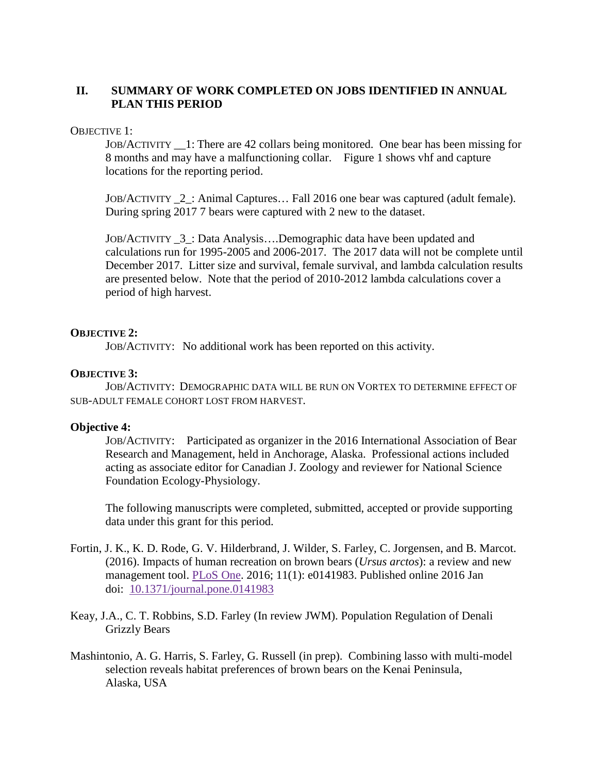# **II. SUMMARY OF WORK COMPLETED ON JOBS IDENTIFIED IN ANNUAL PLAN THIS PERIOD**

### OBJECTIVE 1:

JOB/ACTIVITY \_\_1: There are 42 collars being monitored. One bear has been missing for 8 months and may have a malfunctioning collar. Figure 1 shows vhf and capture locations for the reporting period.

JOB/ACTIVITY \_2\_: Animal Captures… Fall 2016 one bear was captured (adult female). During spring 2017 7 bears were captured with 2 new to the dataset.

JOB/ACTIVITY \_3\_: Data Analysis….Demographic data have been updated and calculations run for 1995-2005 and 2006-2017. The 2017 data will not be complete until December 2017. Litter size and survival, female survival, and lambda calculation results are presented below. Note that the period of 2010-2012 lambda calculations cover a period of high harvest.

### **OBJECTIVE 2:**

JOB/ACTIVITY: No additional work has been reported on this activity.

## **OBJECTIVE 3:**

JOB/ACTIVITY: DEMOGRAPHIC DATA WILL BE RUN ON VORTEX TO DETERMINE EFFECT OF SUB-ADULT FEMALE COHORT LOST FROM HARVEST.

### **Objective 4:**

JOB/ACTIVITY: Participated as organizer in the 2016 International Association of Bear Research and Management, held in Anchorage, Alaska. Professional actions included acting as associate editor for Canadian J. Zoology and reviewer for National Science Foundation Ecology-Physiology.

The following manuscripts were completed, submitted, accepted or provide supporting data under this grant for this period.

- Fortin, J. K., K. D. Rode, G. V. Hilderbrand, J. Wilder, S. Farley, C. Jorgensen, and B. Marcot. (2016). Impacts of human recreation on brown bears (*Ursus arctos*): a review and new management tool. [PLoS One.](http://www.ncbi.nlm.nih.gov/pmc/articles/PMC4701408/) 2016; 11(1): e0141983. Published online 2016 Jan doi: [10.1371/journal.pone.0141983](http://dx.doi.org/10.1371%2Fjournal.pone.0141983)
- Keay, J.A., C. T. Robbins, S.D. Farley (In review JWM). Population Regulation of Denali Grizzly Bears
- Mashintonio, A. G. Harris, S. Farley, G. Russell (in prep). Combining lasso with multi-model selection reveals habitat preferences of brown bears on the Kenai Peninsula, Alaska, USA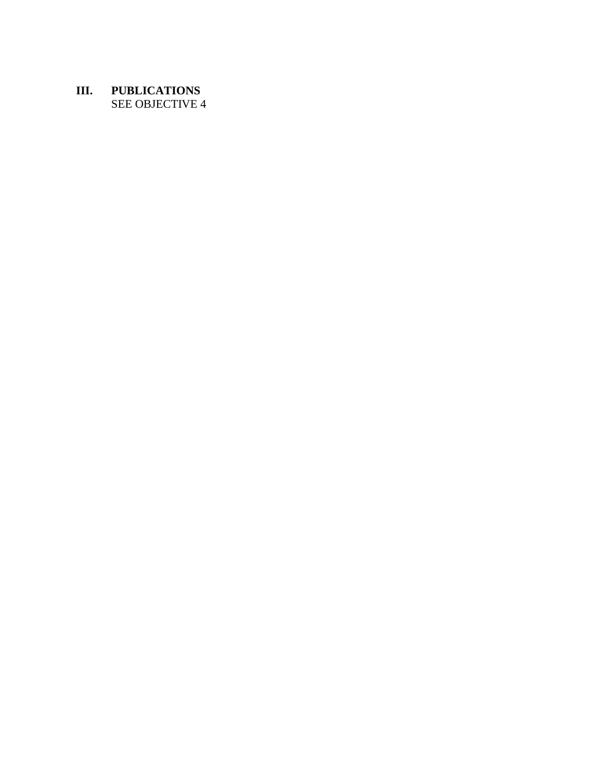## **III. PUBLICATIONS** SEE OBJECTIVE 4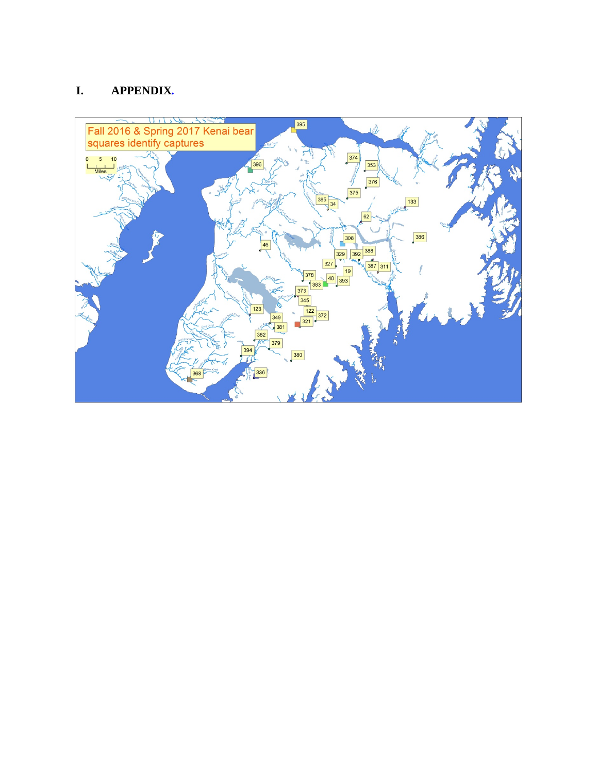# **I. APPENDIX***.*

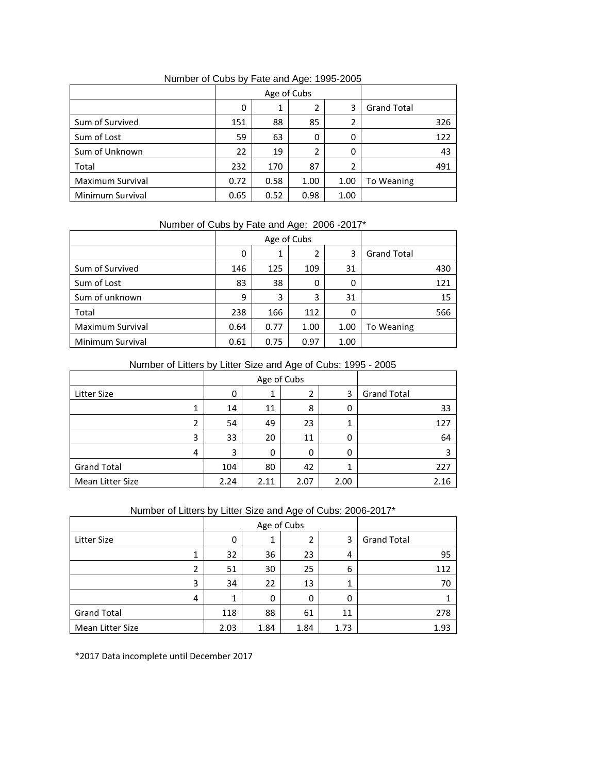|                  | Age of Cubs |      |      |      |                    |
|------------------|-------------|------|------|------|--------------------|
|                  | 0           | 1    | 2    | 3    | <b>Grand Total</b> |
| Sum of Survived  | 151         | 88   | 85   | 2    | 326                |
| Sum of Lost      | 59          | 63   | 0    | 0    | 122                |
| Sum of Unknown   | 22          | 19   | 2    | 0    | 43                 |
| Total            | 232         | 170  | 87   | 2    | 491                |
| Maximum Survival | 0.72        | 0.58 | 1.00 | 1.00 | To Weaning         |
| Minimum Survival | 0.65        | 0.52 | 0.98 | 1.00 |                    |

Number of Cubs by Fate and Age: 1995-2005

## Number of Cubs by Fate and Age: 2006 -2017\*

|                         | Age of Cubs |      |      |      |                    |
|-------------------------|-------------|------|------|------|--------------------|
|                         | 0           | 1    |      | 3    | <b>Grand Total</b> |
| Sum of Survived         | 146         | 125  | 109  | 31   | 430                |
| Sum of Lost             | 83          | 38   | 0    | 0    | 121                |
| Sum of unknown          | 9           | 3    | 3    | 31   | 15                 |
| Total                   | 238         | 166  | 112  | 0    | 566                |
| <b>Maximum Survival</b> | 0.64        | 0.77 | 1.00 | 1.00 | To Weaning         |
| Minimum Survival        | 0.61        | 0.75 | 0.97 | 1.00 |                    |

#### Number of Litters by Litter Size and Age of Cubs: 1995 - 2005

|                    |   | Age of Cubs |      |      |      |                    |
|--------------------|---|-------------|------|------|------|--------------------|
| Litter Size        |   | 0           |      | 2    | 3    | <b>Grand Total</b> |
|                    | ┻ | 14          | 11   | 8    | 0    | 33                 |
|                    | 2 | 54          | 49   | 23   |      | 127                |
|                    | 3 | 33          | 20   | 11   | 0    | 64                 |
|                    | 4 | 3           | 0    | 0    | 0    |                    |
| <b>Grand Total</b> |   | 104         | 80   | 42   |      | 227                |
| Mean Litter Size   |   | 2.24        | 2.11 | 2.07 | 2.00 | 2.16               |

## Number of Litters by Litter Size and Age of Cubs: 2006-2017\*

|                    | Age of Cubs |      |      |      |                    |
|--------------------|-------------|------|------|------|--------------------|
| <b>Litter Size</b> |             |      |      | 3    | <b>Grand Total</b> |
| 1                  | 32          | 36   | 23   | 4    | 95                 |
| 2                  | 51          | 30   | 25   | 6    | 112                |
| 3                  | 34          | 22   | 13   | 1    | 70                 |
| 4                  |             | 0    | 0    | 0    |                    |
| <b>Grand Total</b> | 118         | 88   | 61   | 11   | 278                |
| Mean Litter Size   | 2.03        | 1.84 | 1.84 | 1.73 | 1.93               |

\*2017 Data incomplete until December 2017